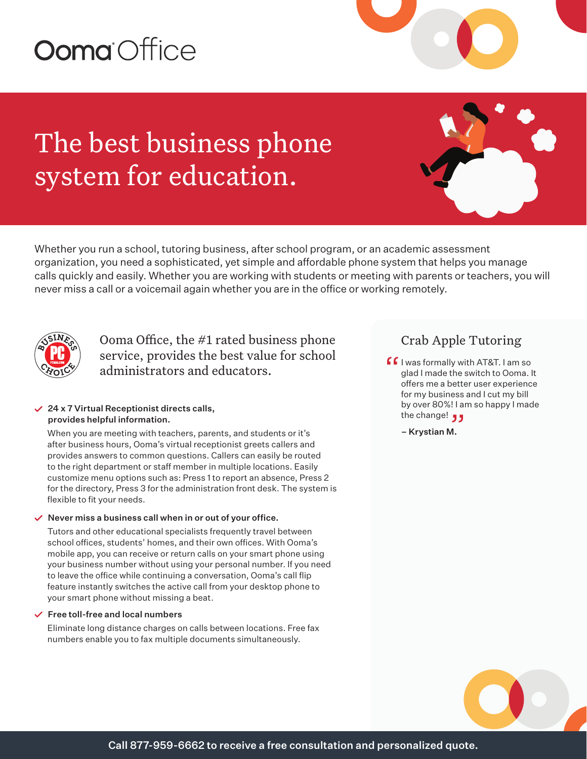# Ooma Office

The best business phone system for education.

Whether you run a school, tutoring business, after school program, or an academic assessment organization, you need a sophisticated, yet simple and affordable phone system that helps you manage calls quickly and easily. Whether you are working with students or meeting with parents or teachers, you will never miss a call or a voicemail again whether you are in the office or working remotely.



Ooma Office, the #1 rated business phone service, provides the best value for school administrators and educators.

#### $\angle$  24 x 7 Virtual Receptionist directs calls, provides helpful information.

When you are meeting with teachers, parents, and students or it's after business hours, Ooma's virtual receptionist greets callers and provides answers to common questions. Callers can easily be routed to the right department or staff member in multiple locations. Easily customize menu options such as: Press 1 to report an absence, Press 2 for the directory, Press 3 for the administration front desk. The system is flexible to fit your needs.

#### $\vee$  Never miss a business call when in or out of your office.

Tutors and other educational specialists frequently travel between school offices, students' homes, and their own offices. With Ooma's mobile app, you can receive or return calls on your smart phone using your business number without using your personal number. If you need to leave the office while continuing a conversation, Ooma's call flip feature instantly switches the active call from your desktop phone to your smart phone without missing a beat.

#### $\checkmark$  Free toll-free and local numbers

Eliminate long distance charges on calls between locations. Free fax numbers enable you to fax multiple documents simultaneously.

### Crab Apple Tutoring

- $\int f$  I was formally with AT&T. I am so<br>glad I made the switch to Ooma. I<br>offers me a better user experience glad I made the switch to Ooma. It offers me a better user experience for my business and I cut my bill by over 80%! I am so happy I made the change! "
	- Krystian M.